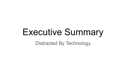# Executive Summary

Distracted By Technology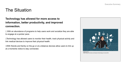## The Situation

#### **Technology has allowed for more access to information, better productivity, and improved connection.**

§ With an abundance of programs to help users work and socialize they are able to engage at a quicker pace.

§Technology has allowed users to monitor their health, track physical activity and link medical devices to improve their physical health.

§With friends and family on the go or at a distance devices allow users to link up at a moments notice to stay connected.



Image source: https://blog.mirrorreview.com/impact-of-technology-on-human-life/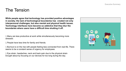### The Tension

**While people agree that technology has provided positive advantages in society; the lack of technological boundaries has created not only interpersonal challenges, but also mental and physical health issues. Technology interfaces have become so addictive that they blur the boundaries where users have a difficult time shutting it off.**

§ Many are less productive at work while simultaneously becoming more stressed.

§ People have less time for family and friends.

§ Burnout is on the rise with people feeling less connected from real life. There seems to be a constant sense of urgency for employees.

§ Eye strain, headaches, neck and back pain due to the physical strain brought about by focusing on our devices for too long during the day.